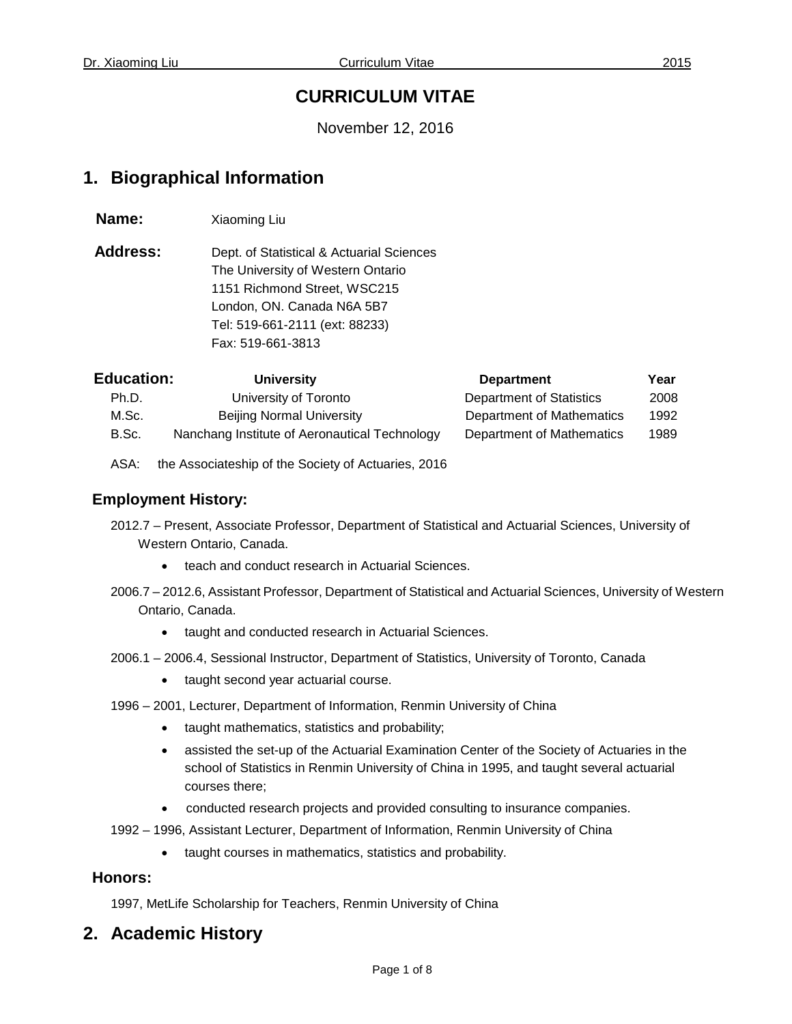# **CURRICULUM VITAE**

November 12, 2016

# **1. Biographical Information**

**Name:** Xiaoming Liu

Address: Dept. of Statistical & Actuarial Sciences The University of Western Ontario 1151 Richmond Street, WSC215 London, ON. Canada N6A 5B7 Tel: [519-661-2111](tel:519-661-2111) (ext: 88233) Fax: [519-661-3813](tel:519-661-3813)

| <b>Education:</b> | <b>University</b>                             | <b>Department</b>         | Year |
|-------------------|-----------------------------------------------|---------------------------|------|
| Ph.D.             | University of Toronto                         | Department of Statistics  | 2008 |
| M.Sc.             | <b>Beijing Normal University</b>              | Department of Mathematics | 1992 |
| B.Sc.             | Nanchang Institute of Aeronautical Technology | Department of Mathematics | 1989 |

ASA: the Associateship of the Society of Actuaries, 2016

## **Employment History:**

- 2012.7 Present, Associate Professor, Department of Statistical and Actuarial Sciences, University of Western Ontario, Canada.
	- teach and conduct research in Actuarial Sciences.
- 2006.7 2012.6, Assistant Professor, Department of Statistical and Actuarial Sciences, University of Western Ontario, Canada.
	- taught and conducted research in Actuarial Sciences.
- 2006.1 2006.4, Sessional Instructor, Department of Statistics, University of Toronto, Canada
	- taught second year actuarial course.
- 1996 2001, Lecturer, Department of Information, Renmin University of China
	- taught mathematics, statistics and probability;
	- assisted the set-up of the Actuarial Examination Center of the Society of Actuaries in the school of Statistics in Renmin University of China in 1995, and taught several actuarial courses there;
	- conducted research projects and provided consulting to insurance companies.
- 1992 1996, Assistant Lecturer, Department of Information, Renmin University of China
	- taught courses in mathematics, statistics and probability.

### **Honors:**

1997, MetLife Scholarship for Teachers, Renmin University of China

# **2. Academic History**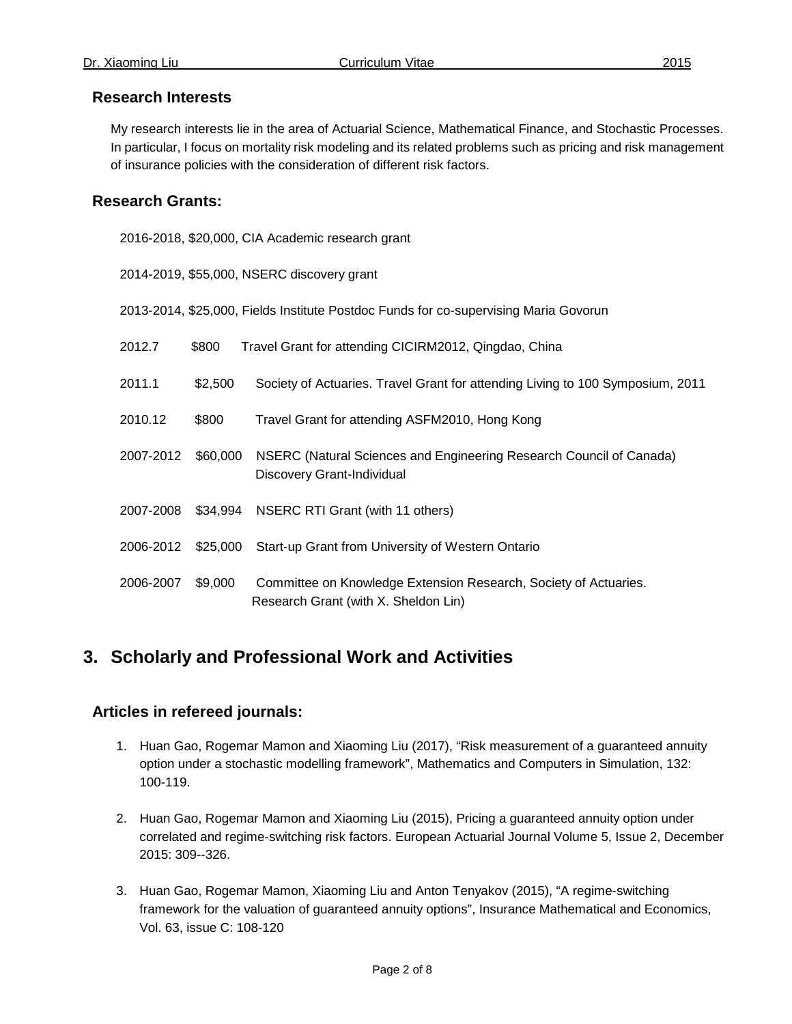## **Research Interests**

My research interests lie in the area of Actuarial Science, Mathematical Finance, and Stochastic Processes. In particular, I focus on mortality risk modeling and its related problems such as pricing and risk management of insurance policies with the consideration of different risk factors.

## **Research Grants:**

2016-2018, \$20,000, CIA Academic research grant

2014-2019, \$55,000, NSERC discovery grant

2013-2014, \$25,000, Fields Institute Postdoc Funds for co-supervising Maria Govorun

| 2012.7    | \$800    | Travel Grant for attending CICIRM2012, Qingdao, China                                                    |
|-----------|----------|----------------------------------------------------------------------------------------------------------|
| 2011.1    | \$2,500  | Society of Actuaries. Travel Grant for attending Living to 100 Symposium, 2011                           |
| 2010.12   | \$800    | Travel Grant for attending ASFM2010, Hong Kong                                                           |
| 2007-2012 | \$60,000 | NSERC (Natural Sciences and Engineering Research Council of Canada)<br><b>Discovery Grant-Individual</b> |
| 2007-2008 | \$34,994 | NSERC RTI Grant (with 11 others)                                                                         |
| 2006-2012 | \$25,000 | Start-up Grant from University of Western Ontario                                                        |
| 2006-2007 | \$9,000  | Committee on Knowledge Extension Research, Society of Actuaries.<br>Research Grant (with X. Sheldon Lin) |

# **3. Scholarly and Professional Work and Activities**

### **Articles in refereed journals:**

- 1. Huan Gao, Rogemar Mamon and Xiaoming Liu (2017), "Risk measurement of a guaranteed annuity option under a stochastic modelling framework", [Mathematics and Computers in Simulation,](http://www.journals.elsevier.com/mathematics-and-computers-in-simulation) 132: 100-119.
- 2. Huan Gao, Rogemar Mamon and Xiaoming Liu (2015), Pricing a guaranteed annuity option under correlated and regime-switching risk factors. European Actuarial Journal Volume 5, Issue 2, December 2015: 309--326.
- 3. Huan Gao, Rogemar Mamon, Xiaoming Liu and Anton Tenyakov (2015), "A regime-switching framework for the valuation of guaranteed annuity options", Insurance Mathematical and Economics, Vol. 63, issue C: 108-120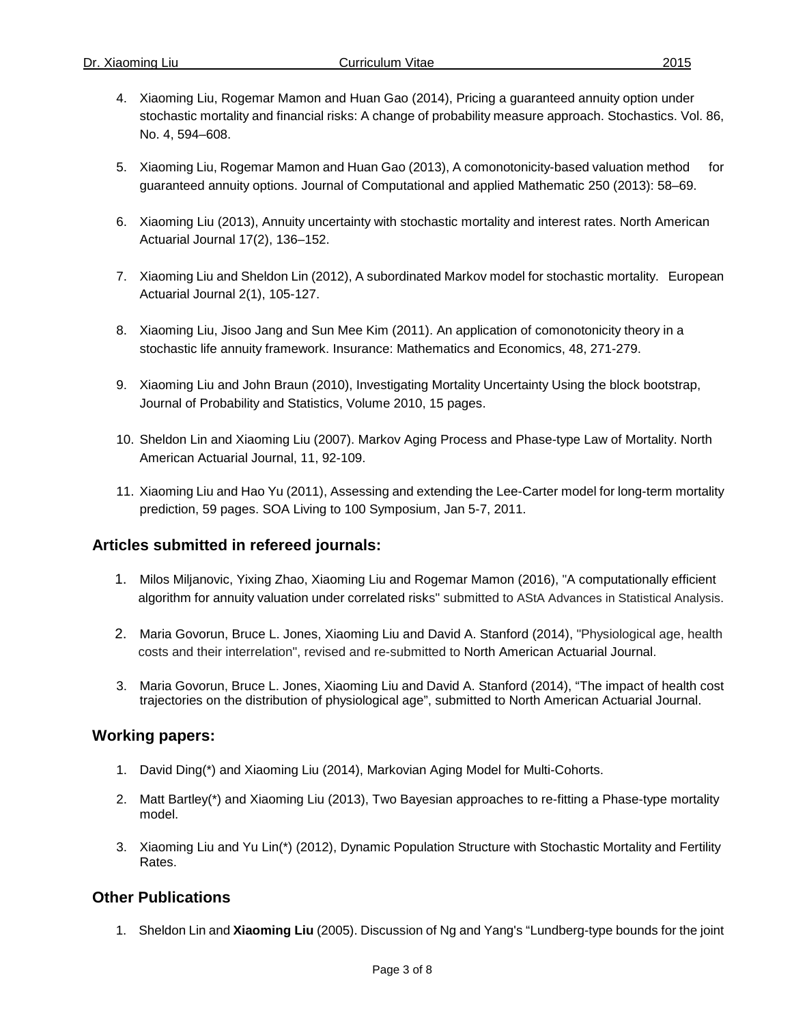- 4. Xiaoming Liu, Rogemar Mamon and Huan Gao (2014), Pricing a guaranteed annuity option under stochastic mortality and financial risks: A change of probability measure approach. Stochastics. Vol. 86, No. 4, 594–608.
- 5. Xiaoming Liu, Rogemar Mamon and Huan Gao (2013), A comonotonicity-based valuation method for guaranteed annuity options. Journal of Computational and applied Mathematic 250 (2013): 58–69.
- 6. Xiaoming Liu (2013), Annuity uncertainty with stochastic mortality and interest rates. North American Actuarial Journal 17(2), 136–152.
- 7. Xiaoming Liu and Sheldon Lin (2012), A subordinated Markov model for stochastic mortality. European Actuarial Journal 2(1), 105-127.
- 8. Xiaoming Liu, Jisoo Jang and Sun Mee Kim (2011). An application of comonotonicity theory in a stochastic life annuity framework. Insurance: Mathematics and Economics, 48, 271-279.
- 9. Xiaoming Liu and John Braun (2010), Investigating Mortality Uncertainty Using the block bootstrap, Journal of Probability and Statistics, Volume 2010, 15 pages.
- 10. Sheldon Lin and Xiaoming Liu (2007). Markov Aging Process and Phase-type Law of Mortality. North American Actuarial Journal, 11, 92-109.
- 11. Xiaoming Liu and Hao Yu (2011), Assessing and extending the Lee-Carter model for long-term mortality prediction, 59 pages. SOA Living to 100 Symposium, Jan 5-7, 2011.

### **Articles submitted in refereed journals:**

- 1. Milos Miljanovic, Yixing Zhao, Xiaoming Liu and Rogemar Mamon (2016), "A computationally efficient algorithm for annuity valuation under correlated risks" submitted to AStA Advances in Statistical Analysis.
- 2. Maria Govorun, Bruce L. Jones, Xiaoming Liu and David A. Stanford (2014), "Physiological age, health costs and their interrelation", revised and re-submitted to North American Actuarial Journal.
- 3. Maria Govorun, Bruce L. Jones, Xiaoming Liu and David A. Stanford (2014), "The impact of health cost trajectories on the distribution of physiological age", submitted to North American Actuarial Journal.

### **Working papers:**

- 1. David Ding(\*) and Xiaoming Liu (2014), Markovian Aging Model for Multi-Cohorts.
- 2. Matt Bartley(\*) and Xiaoming Liu (2013), Two Bayesian approaches to re-fitting a Phase-type mortality model.
- 3. Xiaoming Liu and Yu Lin(\*) (2012), Dynamic Population Structure with Stochastic Mortality and Fertility Rates.

### **Other Publications**

1. Sheldon Lin and **Xiaoming Liu** (2005). Discussion of Ng and Yang's "Lundberg-type bounds for the joint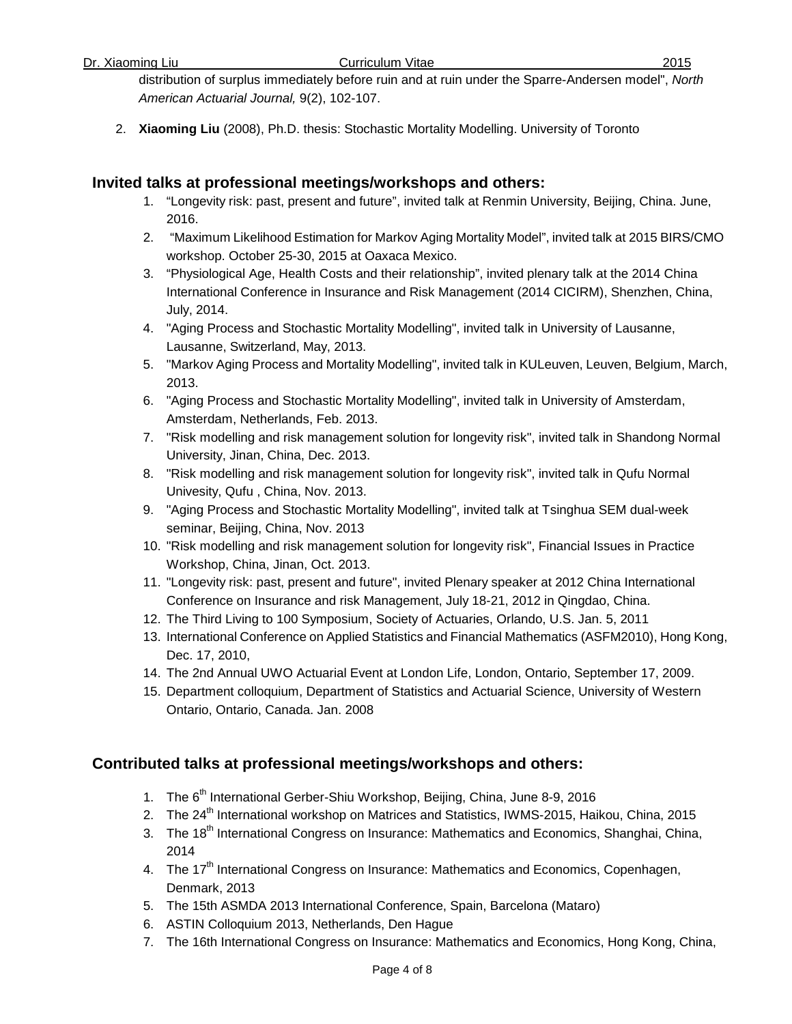distribution of surplus immediately before ruin and at ruin under the Sparre-Andersen model", *North American Actuarial Journal,* 9(2), 102-107.

2. **Xiaoming Liu** (2008), Ph.D. thesis: Stochastic Mortality Modelling. University of Toronto

### **Invited talks at professional meetings/workshops and others:**

- 1. "Longevity risk: past, present and future", invited talk at Renmin University, Beijing, China. June, 2016.
- 2. "Maximum Likelihood Estimation for Markov Aging Mortality Model", invited talk at 2015 BIRS/CMO workshop. October 25-30, 2015 at Oaxaca Mexico.
- 3. "Physiological Age, Health Costs and their relationship", invited plenary talk at the 2014 China International Conference in Insurance and Risk Management (2014 CICIRM), Shenzhen, China, July, 2014.
- 4. "Aging Process and Stochastic Mortality Modelling", invited talk in University of Lausanne, Lausanne, Switzerland, May, 2013.
- 5. "Markov Aging Process and Mortality Modelling", invited talk in KULeuven, Leuven, Belgium, March, 2013.
- 6. "Aging Process and Stochastic Mortality Modelling", invited talk in University of Amsterdam, Amsterdam, Netherlands, Feb. 2013.
- 7. "Risk modelling and risk management solution for longevity risk", invited talk in Shandong Normal University, Jinan, China, Dec. 2013.
- 8. "Risk modelling and risk management solution for longevity risk", invited talk in Qufu Normal Univesity, Qufu , China, Nov. 2013.
- 9. "Aging Process and Stochastic Mortality Modelling", invited talk at Tsinghua SEM dual-week seminar, Beijing, China, Nov. 2013
- 10. "Risk modelling and risk management solution for longevity risk", Financial Issues in Practice Workshop, China, Jinan, Oct. 2013.
- 11. "Longevity risk: past, present and future", invited Plenary speaker at 2012 China International Conference on Insurance and risk Management, July 18-21, 2012 in Qingdao, China.
- 12. The Third Living to 100 Symposium, Society of Actuaries, Orlando, U.S. Jan. 5, 2011
- 13. International Conference on Applied Statistics and Financial Mathematics (ASFM2010), Hong Kong, Dec. 17, 2010,
- 14. The 2nd Annual UWO Actuarial Event at London Life, London, Ontario, September 17, 2009.
- 15. Department colloquium, Department of Statistics and Actuarial Science, University of Western Ontario, Ontario, Canada. Jan. 2008

### **Contributed talks at professional meetings/workshops and others:**

- 1. The 6<sup>th</sup> International Gerber-Shiu Workshop, Beijing, China, June 8-9, 2016
- 2. The 24<sup>th</sup> International workshop on Matrices and Statistics, IWMS-2015, Haikou, China, 2015
- 3. The 18<sup>th</sup> International Congress on Insurance: Mathematics and Economics, Shanghai, China, 2014
- 4. The 17<sup>th</sup> International Congress on Insurance: Mathematics and Economics, Copenhagen, Denmark, 2013
- 5. The 15th ASMDA 2013 International Conference, Spain, Barcelona (Mataro)
- 6. ASTIN Colloquium 2013, Netherlands, Den Hague
- 7. The 16th International Congress on Insurance: Mathematics and Economics, Hong Kong, China,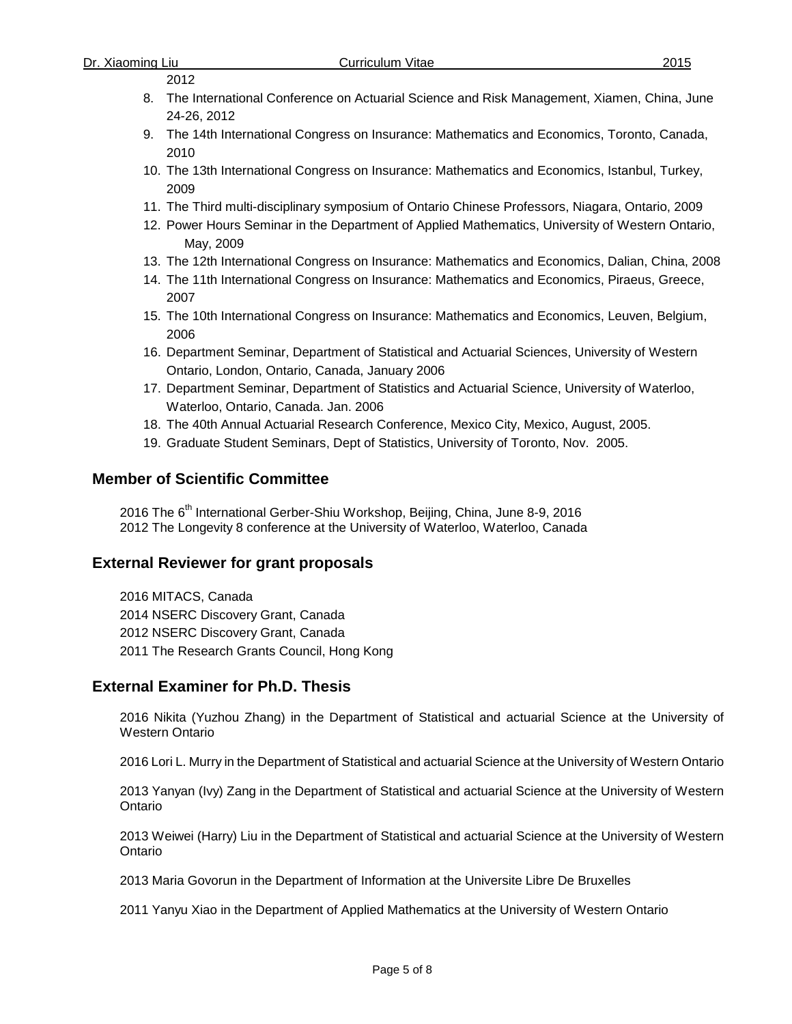### 2012

- 8. The International Conference on Actuarial Science and Risk Management, Xiamen, China, June 24-26, 2012
- 9. The 14th International Congress on Insurance: Mathematics and Economics, Toronto, Canada, 2010
- 10. The 13th International Congress on Insurance: Mathematics and Economics, Istanbul, Turkey, 2009
- 11. The Third multi-disciplinary symposium of Ontario Chinese Professors, Niagara, Ontario, 2009
- 12. Power Hours Seminar in the Department of Applied Mathematics, University of Western Ontario, May, 2009
- 13. The 12th International Congress on Insurance: Mathematics and Economics, Dalian, China, 2008
- 14. The 11th International Congress on Insurance: Mathematics and Economics, Piraeus, Greece, 2007
- 15. The 10th International Congress on Insurance: Mathematics and Economics, Leuven, Belgium, 2006
- 16. Department Seminar, Department of Statistical and Actuarial Sciences, University of Western Ontario, London, Ontario, Canada, January 2006
- 17. Department Seminar, Department of Statistics and Actuarial Science, University of Waterloo, Waterloo, Ontario, Canada. Jan. 2006
- 18. The 40th Annual Actuarial Research Conference, Mexico City, Mexico, August, 2005.
- 19. Graduate Student Seminars, Dept of Statistics, University of Toronto, Nov. 2005.

## **Member of Scientific Committee**

2016 The 6<sup>th</sup> International Gerber-Shiu Workshop, Beijing, China, June 8-9, 2016 2012 The Longevity 8 conference at the University of Waterloo, Waterloo, Canada

### **External Reviewer for grant proposals**

2016 MITACS, Canada 2014 NSERC Discovery Grant, Canada 2012 NSERC Discovery Grant, Canada 2011 The Research Grants Council, Hong Kong

### **External Examiner for Ph.D. Thesis**

2016 Nikita (Yuzhou Zhang) in the Department of Statistical and actuarial Science at the University of Western Ontario

2016 Lori L. Murry in the Department of Statistical and actuarial Science at the University of Western Ontario

2013 Yanyan (Ivy) Zang in the Department of Statistical and actuarial Science at the University of Western Ontario

2013 Weiwei (Harry) Liu in the Department of Statistical and actuarial Science at the University of Western **Ontario** 

2013 Maria Govorun in the Department of Information at the Universite Libre De Bruxelles

2011 Yanyu Xiao in the Department of Applied Mathematics at the University of Western Ontario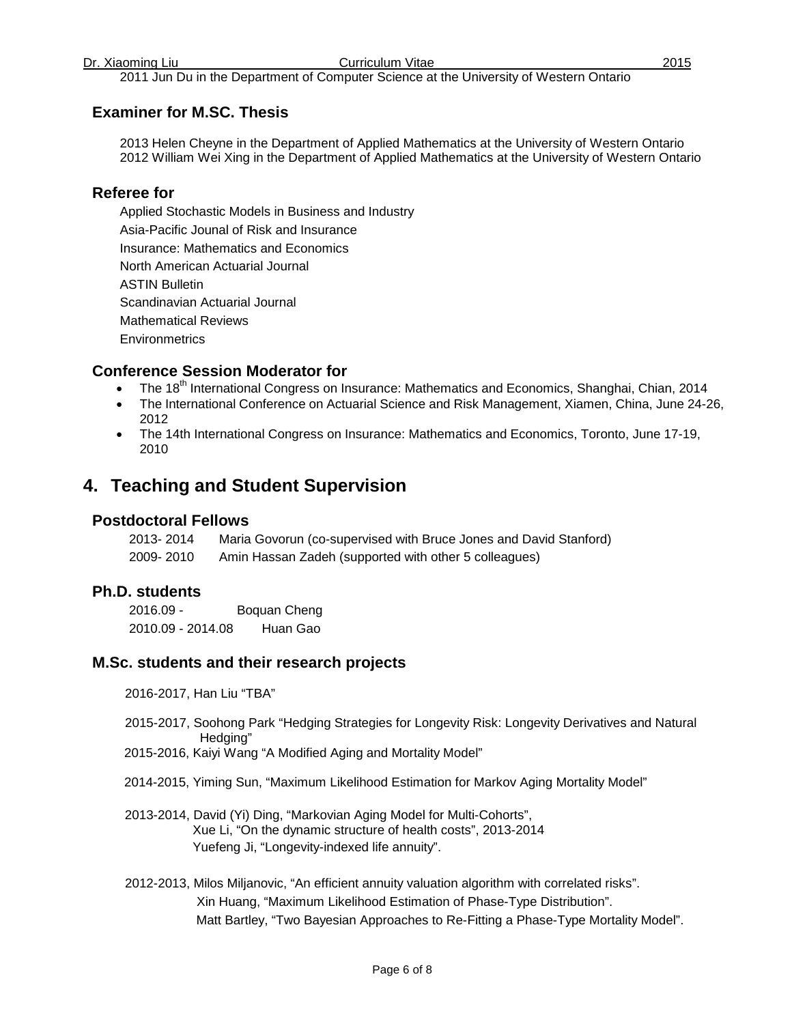### 2011 Jun Du in the Department of Computer Science at the University of Western Ontario

## **Examiner for M.SC. Thesis**

2013 Helen Cheyne in the Department of Applied Mathematics at the University of Western Ontario 2012 William Wei Xing in the Department of Applied Mathematics at the University of Western Ontario

### **Referee for**

Applied Stochastic Models in Business and Industry Asia-Pacific Jounal of Risk and Insurance Insurance: Mathematics and Economics North American Actuarial Journal ASTIN Bulletin Scandinavian Actuarial Journal Mathematical Reviews **Environmetrics** 

### **Conference Session Moderator for**

- The 18<sup>th</sup> International Congress on Insurance: Mathematics and Economics, Shanghai, Chian, 2014
- The International Conference on Actuarial Science and Risk Management, Xiamen, China, June 24-26, 2012
- The 14th International Congress on Insurance: Mathematics and Economics, Toronto, June 17-19, 2010

# **4. Teaching and Student Supervision**

### **Postdoctoral Fellows**

| 2013-2014 | Maria Govorun (co-supervised with Bruce Jones and David Stanford) |
|-----------|-------------------------------------------------------------------|
| 2009-2010 | Amin Hassan Zadeh (supported with other 5 colleagues)             |

### **Ph.D. students**

2016.09 - Boquan Cheng 2010.09 - 2014.08 Huan Gao

### **M.Sc. students and their research projects**

2016-2017, Han Liu "TBA"

- 2015-2017, Soohong Park "Hedging Strategies for Longevity Risk: Longevity Derivatives and Natural Hedging"
- 2015-2016, Kaiyi Wang "A Modified Aging and Mortality Model"
- 2014-2015, Yiming Sun, "Maximum Likelihood Estimation for Markov Aging Mortality Model"
- 2013-2014, David (Yi) Ding, "Markovian Aging Model for Multi-Cohorts", Xue Li, "On the dynamic structure of health costs", 2013-2014 Yuefeng Ji, "Longevity-indexed life annuity".
- 2012-2013, Milos Miljanovic, "An efficient annuity valuation algorithm with correlated risks". Xin Huang, "Maximum Likelihood Estimation of Phase-Type Distribution". Matt Bartley, "Two Bayesian Approaches to Re-Fitting a Phase-Type Mortality Model".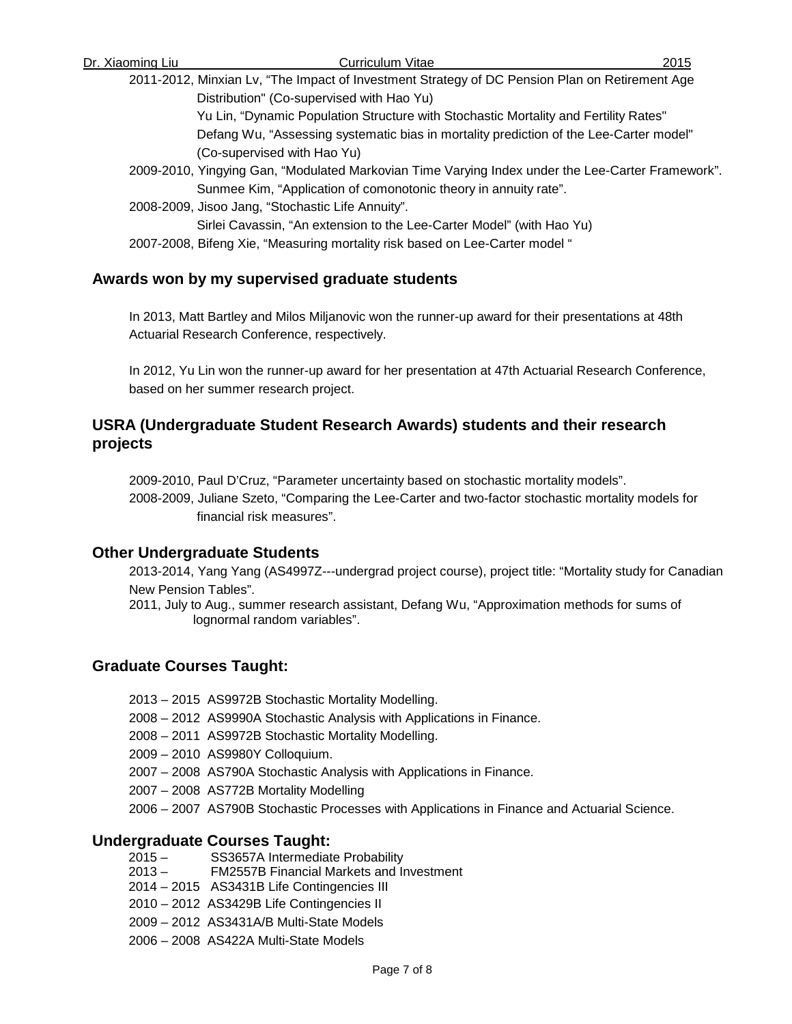Dr. Xiaoming Liu Curriculum Vitae 2015 2011-2012, Minxian Lv, "The Impact of Investment Strategy of DC Pension Plan on Retirement Age Distribution" (Co-supervised with Hao Yu) Yu Lin, "Dynamic Population Structure with Stochastic Mortality and Fertility Rates" Defang Wu, "Assessing systematic bias in mortality prediction of the Lee-Carter model" (Co-supervised with Hao Yu) 2009-2010, Yingying Gan, "Modulated Markovian Time Varying Index under the Lee-Carter Framework". Sunmee Kim, "Application of comonotonic theory in annuity rate". 2008-2009, Jisoo Jang, "Stochastic Life Annuity". Sirlei Cavassin, "An extension to the Lee-Carter Model" (with Hao Yu)

2007-2008, Bifeng Xie, "Measuring mortality risk based on Lee-Carter model "

### **Awards won by my supervised graduate students**

In 2013, Matt Bartley and Milos Miljanovic won the runner-up award for their presentations at 48th Actuarial Research Conference, respectively.

In 2012, Yu Lin won the runner-up award for her presentation at 47th Actuarial Research Conference, based on her summer research project.

# **USRA (Undergraduate Student Research Awards) students and their research projects**

2009-2010, Paul D'Cruz, "Parameter uncertainty based on stochastic mortality models". 2008-2009, Juliane Szeto, "Comparing the Lee-Carter and two-factor stochastic mortality models for financial risk measures".

### **Other Undergraduate Students**

2013-2014, Yang Yang (AS4997Z---undergrad project course), project title: "Mortality study for Canadian New Pension Tables".

2011, July to Aug., summer research assistant, Defang Wu, "Approximation methods for sums of lognormal random variables".

## **Graduate Courses Taught:**

- 2013 2015 AS9972B Stochastic Mortality Modelling.
- 2008 2012 AS9990A Stochastic Analysis with Applications in Finance.
- 2008 2011 AS9972B Stochastic Mortality Modelling.
- 2009 2010 AS9980Y Colloquium.
- 2007 2008 AS790A Stochastic Analysis with Applications in Finance.
- 2007 2008 AS772B Mortality Modelling
- 2006 2007 AS790B Stochastic Processes with Applications in Finance and Actuarial Science.

### **Undergraduate Courses Taught:**

- 2015 SS3657A Intermediate Probability
- 2013 FM2557B Financial Markets and Investment
- 2014 2015 AS3431B Life Contingencies III
- 2010 2012 AS3429B Life Contingencies II
- 2009 2012 AS3431A/B Multi-State Models
- 2006 2008 AS422A Multi-State Models